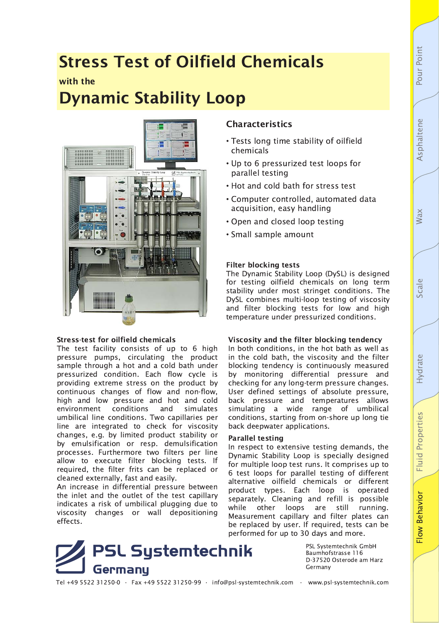# **Stress Test of Oilfield Chemicals**

## with the

# **Dynamic Stability Loop**



### **Stress-test for oilfield chemicals**

The test facility consists of up to 6 high pressure pumps, circulating the product sample through a hot and a cold bath under pressurized condition. Each flow cycle is providing extreme stress on the product by continuous changes of flow and non-flow, high and low pressure and hot and cold environment conditions and simulates umbilical line conditions. Two capillaries per line are integrated to check for viscosity changes, e.g. by limited product stability or by emulsification or resp. demulsification processes. Furthermore two filters per line allow to execute filter blocking tests. If required, the filter frits can be replaced or cleaned externally, fast and easily.

An increase in differential pressure between the inlet and the outlet of the test capillary indicates a risk of umbilical plugging due to viscosity changes or wall depositioning effects.

## **Characteristics**

- Tests long time stability of oilfield chemicals
- . Up to 6 pressurized test loops for parallel testing
- . Hot and cold bath for stress test
- Computer controlled, automated data acquisition, easy handling
- Open and closed loop testing
- Small sample amount

### **Filter blocking tests**

The Dynamic Stability Loop (DySL) is designed for testing oilfield chemicals on long term stability under most stringet conditions. The DySL combines multi-loop testing of viscosity and filter blocking tests for low and high temperature under pressurized conditions.

### Viscosity and the filter blocking tendency

In both conditions, in the hot bath as well as in the cold bath, the viscosity and the filter blocking tendency is continuously measured by monitoring differential pressure and checking for any long-term pressure changes. User defined settings of absolute pressure, back pressure and temperatures allows simulating a wide range of umbilical conditions, starting from on-shore up long tie back deepwater applications.

### **Parallel testing**

In respect to extensive testing demands, the Dynamic Stability Loop is specially designed for multiple loop test runs. It comprises up to 6 test loops for parallel testing of different alternative oilfield chemicals or different product types. Each loop is operated separately. Cleaning and refill is possible while other loops are still running. Measurement capillary and filter plates can be replaced by user. If required, tests can be performed for up to 30 days and more.



PSL Systemtechnik GmbH Baumhofstrasse 116 D-37520 Osterode am Harz Germany

Tel +49 5522 31250-0 · Fax +49 5522 31250-99 · info@psl-systemtechnik.com · www.psl-systemtechnik.com